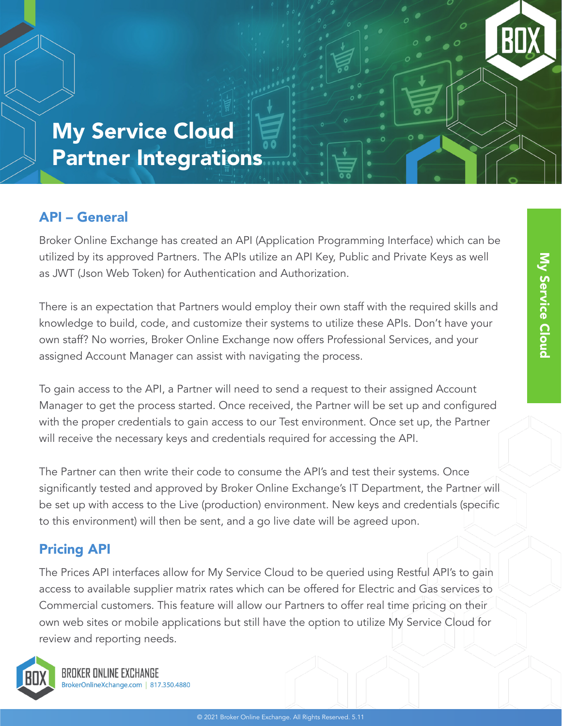My Service Cloud Partner Integrations

### API – General

Broker Online Exchange has created an API (Application Programming Interface) which can be utilized by its approved Partners. The APIs utilize an API Key, Public and Private Keys as well as JWT (Json Web Token) for Authentication and Authorization.

There is an expectation that Partners would employ their own staff with the required skills and knowledge to build, code, and customize their systems to utilize these APIs. Don't have your own staff? No worries, Broker Online Exchange now offers Professional Services, and your assigned Account Manager can assist with navigating the process.

To gain access to the API, a Partner will need to send a request to their assigned Account Manager to get the process started. Once received, the Partner will be set up and configured with the proper credentials to gain access to our Test environment. Once set up, the Partner will receive the necessary keys and credentials required for accessing the API.

The Partner can then write their code to consume the API's and test their systems. Once significantly tested and approved by Broker Online Exchange's IT Department, the Partner will be set up with access to the Live (production) environment. New keys and credentials (specific to this environment) will then be sent, and a go live date will be agreed upon.

### Pricing API

The Prices API interfaces allow for My Service Cloud to be queried using Restful API's to gain access to available supplier matrix rates which can be offered for Electric and Gas services to Commercial customers. This feature will allow our Partners to offer real time pricing on their own web sites or mobile applications but still have the option to utilize My Service Cloud for review and reporting needs.



BROKER ONLINE EXCHANGE BrokerOnlineXchange.com | 817.350.4880